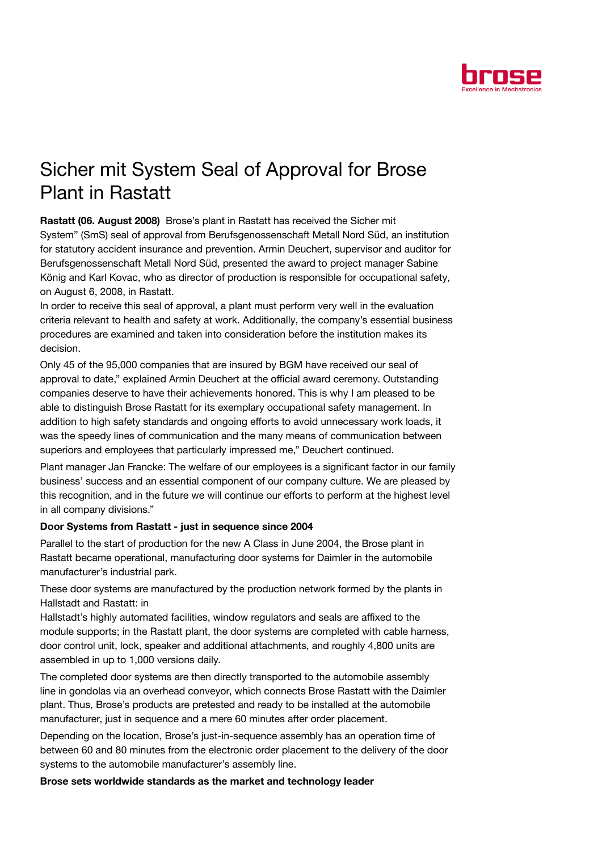

## Sicher mit System Seal of Approval for Brose Plant in Rastatt

Rastatt (06. August 2008) Brose's plant in Rastatt has received the Sicher mit System" (SmS) seal of approval from Berufsgenossenschaft Metall Nord Süd, an institution for statutory accident insurance and prevention. Armin Deuchert, supervisor and auditor for Berufsgenossenschaft Metall Nord Süd, presented the award to project manager Sabine König and Karl Kovac, who as director of production is responsible for occupational safety, on August 6, 2008, in Rastatt.

In order to receive this seal of approval, a plant must perform very well in the evaluation criteria relevant to health and safety at work. Additionally, the company's essential business procedures are examined and taken into consideration before the institution makes its decision.

Only 45 of the 95,000 companies that are insured by BGM have received our seal of approval to date," explained Armin Deuchert at the official award ceremony. Outstanding companies deserve to have their achievements honored. This is why I am pleased to be able to distinguish Brose Rastatt for its exemplary occupational safety management. In addition to high safety standards and ongoing efforts to avoid unnecessary work loads, it was the speedy lines of communication and the many means of communication between superiors and employees that particularly impressed me," Deuchert continued.

Plant manager Jan Francke: The welfare of our employees is a significant factor in our family business' success and an essential component of our company culture. We are pleased by this recognition, and in the future we will continue our efforts to perform at the highest level in all company divisions."

## Door Systems from Rastatt - just in sequence since 2004

Parallel to the start of production for the new A Class in June 2004, the Brose plant in Rastatt became operational, manufacturing door systems for Daimler in the automobile manufacturer's industrial park.

These door systems are manufactured by the production network formed by the plants in Hallstadt and Rastatt: in

Hallstadt's highly automated facilities, window regulators and seals are affixed to the module supports; in the Rastatt plant, the door systems are completed with cable harness, door control unit, lock, speaker and additional attachments, and roughly 4,800 units are assembled in up to 1,000 versions daily.

The completed door systems are then directly transported to the automobile assembly line in gondolas via an overhead conveyor, which connects Brose Rastatt with the Daimler plant. Thus, Brose's products are pretested and ready to be installed at the automobile manufacturer, just in sequence and a mere 60 minutes after order placement.

Depending on the location, Brose's just-in-sequence assembly has an operation time of between 60 and 80 minutes from the electronic order placement to the delivery of the door systems to the automobile manufacturer's assembly line.

Brose sets worldwide standards as the market and technology leader